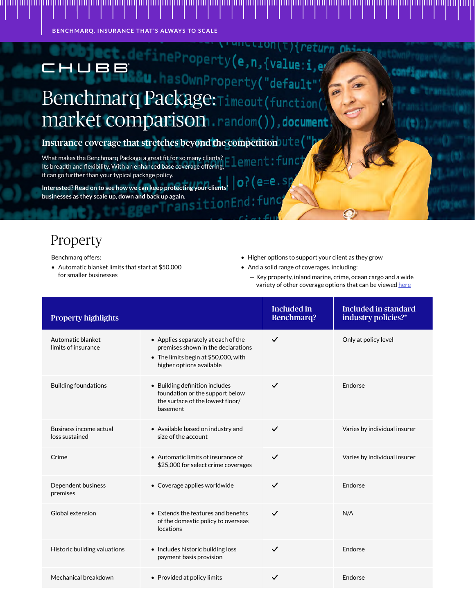**BENCHMARQ. INSURANCE THAT'S ALWAYS TO SCALE**

## operty(e,n,{value:i,ey HUBB EFTER U. hasOwnProperty("default")<br>Benchmarq Package:Timeout(function( market comparison.random()), document

Insurance coverage that stretches beyond the competition

What makes the Benchmarq Package a great fit for so many clients? Its breadth and flexibility. With an enhanced base coverage offering, it can go further than your typical package policy.  $=$ e.s

**Interested? Read on to see how we can keep protecting your clients' businesses as they scale up, down and back up again.** 1 on

#### Property

Benchmarq offers:

- Automatic blanket limits that start at \$50,000 for smaller businesses
- Higher options to support your client as they grow
- And a solid range of coverages, including:
	- Key property, inland marine, crime, ocean cargo and a wide variety of other coverage options that can be viewed [here](https://www.chubb.com/us/asset/smallbusiness/ChubbBenchmarqEnhancements.pdf)

| <b>Property highlights</b>               |                                                                                                                                               | <b>Included in</b><br><b>Benchmarq?</b> | <b>Included in standard</b><br>industry policies?* |
|------------------------------------------|-----------------------------------------------------------------------------------------------------------------------------------------------|-----------------------------------------|----------------------------------------------------|
| Automatic blanket<br>limits of insurance | • Applies separately at each of the<br>premises shown in the declarations<br>• The limits begin at \$50,000, with<br>higher options available | $\checkmark$                            | Only at policy level                               |
| <b>Building foundations</b>              | • Building definition includes<br>foundation or the support below<br>the surface of the lowest floor/<br>basement                             | $\checkmark$                            | <b>Endorse</b>                                     |
| Business income actual<br>loss sustained | • Available based on industry and<br>size of the account                                                                                      | $\checkmark$                            | Varies by individual insurer                       |
| Crime                                    | • Automatic limits of insurance of<br>\$25,000 for select crime coverages                                                                     | $\checkmark$                            | Varies by individual insurer                       |
| Dependent business<br>premises           | • Coverage applies worldwide                                                                                                                  | $\checkmark$                            | Endorse                                            |
| Global extension                         | • Extends the features and benefits<br>of the domestic policy to overseas<br>locations                                                        | $\checkmark$                            | N/A                                                |
| Historic building valuations             | • Includes historic building loss<br>payment basis provision                                                                                  | $\checkmark$                            | Endorse                                            |
| Mechanical breakdown                     | • Provided at policy limits                                                                                                                   | $\checkmark$                            | Endorse                                            |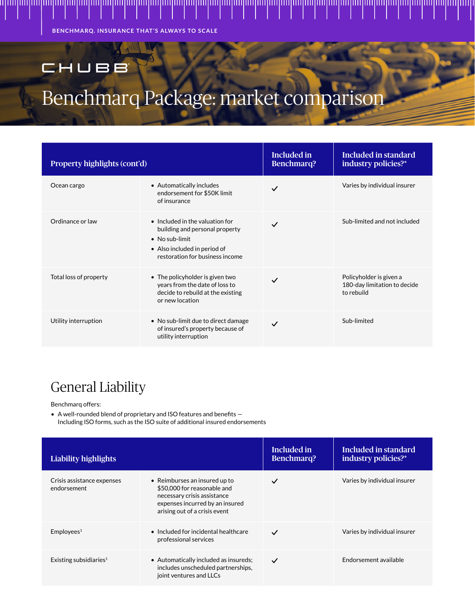**BENCHMARQ. INSURANCE THAT'S ALWAYS TO SCALE**

### CHUBB

## Benchmarq Package: market compariso

| Property highlights (cont'd) |                                                                                                                                                                        | Included in<br><b>Benchmarq?</b> | Included in standard<br>industry policies?*                           |
|------------------------------|------------------------------------------------------------------------------------------------------------------------------------------------------------------------|----------------------------------|-----------------------------------------------------------------------|
| Ocean cargo                  | • Automatically includes<br>endorsement for \$50K limit<br>of insurance                                                                                                | $\checkmark$                     | Varies by individual insurer                                          |
| Ordinance or law             | $\bullet$ Included in the valuation for<br>building and personal property<br>$\bullet$ No sub-limit<br>• Also included in period of<br>restoration for business income | $\checkmark$                     | Sub-limited and not included                                          |
| Total loss of property       | • The policyholder is given two<br>years from the date of loss to<br>decide to rebuild at the existing<br>or new location                                              | $\checkmark$                     | Policyholder is given a<br>180-day limitation to decide<br>to rebuild |
| Utility interruption         | • No sub-limit due to direct damage<br>of insured's property because of<br>utility interruption                                                                        | $\checkmark$                     | Sub-limited                                                           |

#### General Liability

Benchmarq offers:

• A well-rounded blend of proprietary and ISO features and benefits — Including ISO forms, such as the ISO suite of additional insured endorsements

| <b>Liability highlights</b>               |                                                                                                                                                                 | Included in<br><b>Benchmarq?</b> | Included in standard<br>industry policies?* |
|-------------------------------------------|-----------------------------------------------------------------------------------------------------------------------------------------------------------------|----------------------------------|---------------------------------------------|
| Crisis assistance expenses<br>endorsement | • Reimburses an insured up to<br>\$50,000 for reasonable and<br>necessary crisis assistance<br>expenses incurred by an insured<br>arising out of a crisis event | $\checkmark$                     | Varies by individual insurer                |
| Emplovees <sup>1</sup>                    | $\bullet$ Included for incidental healthcare<br>professional services                                                                                           | $\checkmark$                     | Varies by individual insurer                |
| Existing subsidiaries <sup>1</sup>        | • Automatically included as insureds;<br>includes unscheduled partnerships,<br>joint ventures and LLCs                                                          | $\checkmark$                     | Endorsement available                       |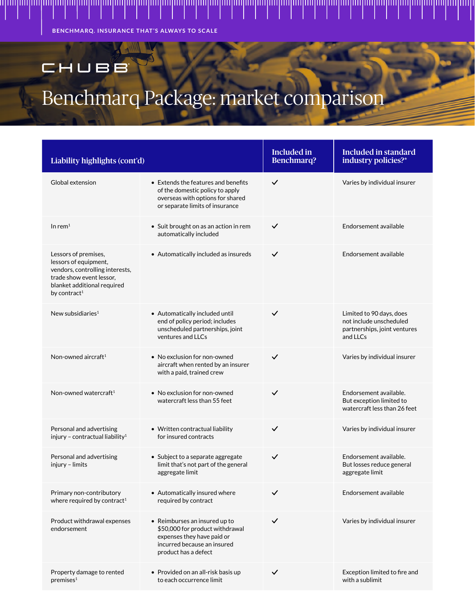**BENCHMARQ. INSURANCE THAT'S ALWAYS TO SCALE**

### CHUBB

## Benchmarq Package: market comparison

| Liability highlights (cont'd)                                                                                                                                           |                                                                                                                                                       | <b>Included in</b><br><b>Benchmarq?</b> | <b>Included in standard</b><br>industry policies?*                                              |
|-------------------------------------------------------------------------------------------------------------------------------------------------------------------------|-------------------------------------------------------------------------------------------------------------------------------------------------------|-----------------------------------------|-------------------------------------------------------------------------------------------------|
| Global extension                                                                                                                                                        | $\bullet$ Extends the features and benefits<br>of the domestic policy to apply<br>overseas with options for shared<br>or separate limits of insurance | $\checkmark$                            | Varies by individual insurer                                                                    |
| In rem $1$                                                                                                                                                              | • Suit brought on as an action in rem<br>automatically included                                                                                       | $\checkmark$                            | Endorsement available                                                                           |
| Lessors of premises,<br>lessors of equipment,<br>vendors, controlling interests,<br>trade show event lessor,<br>blanket additional required<br>by contract <sup>1</sup> | • Automatically included as insureds                                                                                                                  | $\checkmark$                            | Endorsement available                                                                           |
| New subsidiaries $1$                                                                                                                                                    | • Automatically included until<br>end of policy period; includes<br>unscheduled partnerships, joint<br>ventures and LLCs                              | $\checkmark$                            | Limited to 90 days, does<br>not include unscheduled<br>partnerships, joint ventures<br>and LLCs |
| Non-owned aircraft <sup>1</sup>                                                                                                                                         | • No exclusion for non-owned<br>aircraft when rented by an insurer<br>with a paid, trained crew                                                       | $\checkmark$                            | Varies by individual insurer                                                                    |
| Non-owned watercraft $1$                                                                                                                                                | • No exclusion for non-owned<br>watercraft less than 55 feet                                                                                          | $\checkmark$                            | Endorsement available.<br>But exception limited to<br>watercraft less than 26 feet              |
| Personal and advertising<br>injury - contractual liability <sup>1</sup>                                                                                                 | • Written contractual liability<br>for insured contracts                                                                                              | $\checkmark$                            | Varies by individual insurer                                                                    |
| Personal and advertising<br>injury - limits                                                                                                                             | • Subject to a separate aggregate<br>limit that's not part of the general<br>aggregate limit                                                          | $\checkmark$                            | Endorsement available.<br>But losses reduce general<br>aggregate limit                          |
| Primary non-contributory<br>where required by contract <sup>1</sup>                                                                                                     | • Automatically insured where<br>required by contract                                                                                                 | $\checkmark$                            | Endorsement available                                                                           |
| Product withdrawal expenses<br>endorsement                                                                                                                              | • Reimburses an insured up to<br>\$50,000 for product withdrawal<br>expenses they have paid or<br>incurred because an insured<br>product has a defect | $\checkmark$                            | Varies by individual insurer                                                                    |
| Property damage to rented<br>premises <sup>1</sup>                                                                                                                      | • Provided on an all-risk basis up<br>to each occurrence limit                                                                                        | $\checkmark$                            | Exception limited to fire and<br>with a sublimit                                                |